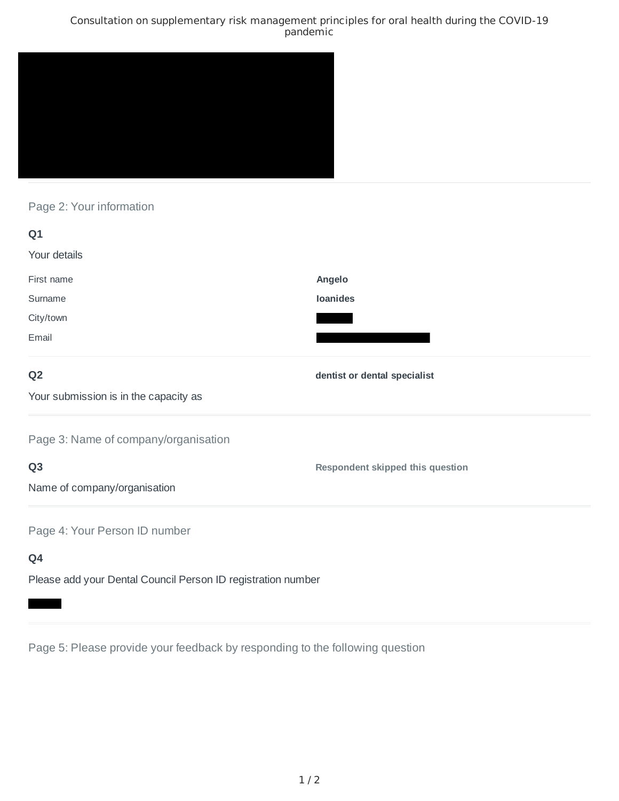### Consultation on supplementary risk management principles for oral health during the COVID-19 pandemic



# Page 2: Your information

| Q1                                                           |                                         |
|--------------------------------------------------------------|-----------------------------------------|
| Your details                                                 |                                         |
| First name                                                   | Angelo                                  |
| Surname                                                      | <b>Ioanides</b>                         |
| City/town                                                    |                                         |
| Email                                                        |                                         |
| Q <sub>2</sub>                                               | dentist or dental specialist            |
| Your submission is in the capacity as                        |                                         |
| Page 3: Name of company/organisation                         |                                         |
| Q <sub>3</sub>                                               | <b>Respondent skipped this question</b> |
| Name of company/organisation                                 |                                         |
| Page 4: Your Person ID number                                |                                         |
| Q4                                                           |                                         |
| Please add your Dental Council Person ID registration number |                                         |

Page 5: Please provide your feedback by responding to the following question